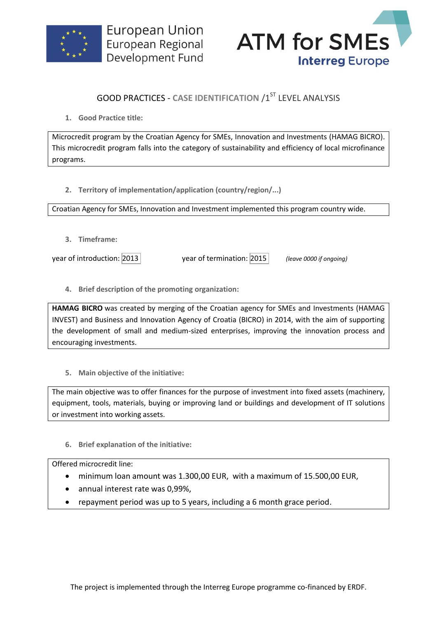



## **GOOD PRACTICES - CASE IDENTIFICATION /1ST LEVEL ANALYSIS**

**1. Good Practice title:**

Microcredit program by the Croatian Agency for SMEs, Innovation and Investments (HAMAG BICRO). This microcredit program falls into the category of sustainability and efficiency of local microfinance programs.

**2. Territory of implementation/application (country/region/...)**

Croatian Agency for SMEs, Innovation and Investment implemented this program country wide.

**3. Timeframe:**

year of introduction: 2013 year of termination: 2015 *(leave 0000 if ongoing)*

**4. Brief description of the promoting organization:**

**HAMAG BICRO** was created by merging of the Croatian agency for SMEs and Investments (HAMAG INVEST) and Business and Innovation Agency of Croatia (BICRO) in 2014, with the aim of supporting the development of small and medium-sized enterprises, improving the innovation process and encouraging investments.

**5. Main objective of the initiative:**

The main objective was to offer finances for the purpose of investment into fixed assets (machinery, equipment, tools, materials, buying or improving land or buildings and development of IT solutions or investment into working assets.

**6. Brief explanation of the initiative:**

Offered microcredit line:

- minimum loan amount was 1.300,00 EUR, with a maximum of 15.500,00 EUR,
- annual interest rate was 0,99%,
- repayment period was up to 5 years, including a 6 month grace period.